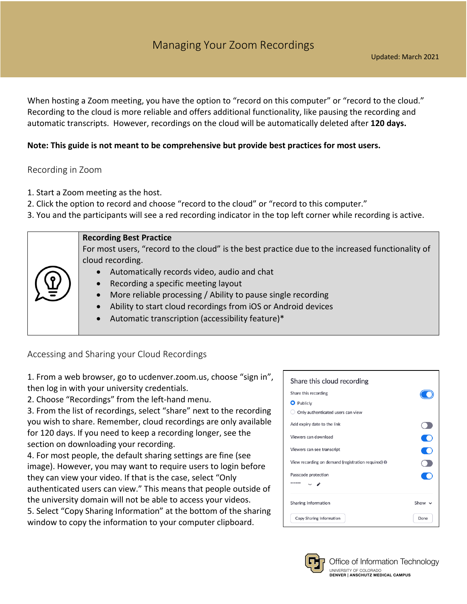When hosting a Zoom meeting, you have the option to "record on this computer" or "record to the cloud." Recording to the cloud is more reliable and offers additional functionality, like pausing the recording and automatic transcripts. However, recordings on the cloud will be automatically deleted after **120 days.** 

## **Note: This guide is not meant to be comprehensive but provide best practices for most users.**

## Recording in Zoom

- 1. Start a Zoom meeting as the host.
- 2. Click the option to record and choose "record to the cloud" or "record to this computer."
- 3. You and the participants will see a red recording indicator in the top left corner while recording is active.

|   | <b>Recording Best Practice</b>                                                                   |
|---|--------------------------------------------------------------------------------------------------|
|   | For most users, "record to the cloud" is the best practice due to the increased functionality of |
|   | cloud recording.                                                                                 |
|   | Automatically records video, audio and chat                                                      |
|   | Recording a specific meeting layout                                                              |
| 亮 | More reliable processing / Ability to pause single recording                                     |
|   | Ability to start cloud recordings from iOS or Android devices                                    |
|   | Automatic transcription (accessibility feature)*                                                 |
|   |                                                                                                  |

Accessing and Sharing your Cloud Recordings

1. From a web browser, go to ucdenver.zoom.us, choose "sign in", then log in with your university credentials.

2. Choose "Recordings" from the left-hand menu.

3. From the list of recordings, select "share" next to the recording you wish to share. Remember, cloud recordings are only available for 120 days. If you need to keep a recording longer, see the section on downloading your recording.

4. For most people, the default sharing settings are fine (see image). However, you may want to require users to login before they can view your video. If that is the case, select "Only authenticated users can view." This means that people outside of the university domain will not be able to access your videos. 5. Select "Copy Sharing Information" at the bottom of the sharing window to copy the information to your computer clipboard.

| Share this cloud recording                         |             |
|----------------------------------------------------|-------------|
| Share this recording                               |             |
| <b>O</b> Publicly                                  |             |
| Only authenticated users can view                  |             |
| Add expiry date to the link                        |             |
| Viewers can download                               | C           |
| Viewers can see transcript                         |             |
| View recording on demand (registration required) @ |             |
| Passcode protection                                |             |
| ******                                             |             |
| Sharing Information                                | Show $\vee$ |
| Copy Sharing Information                           | Done        |